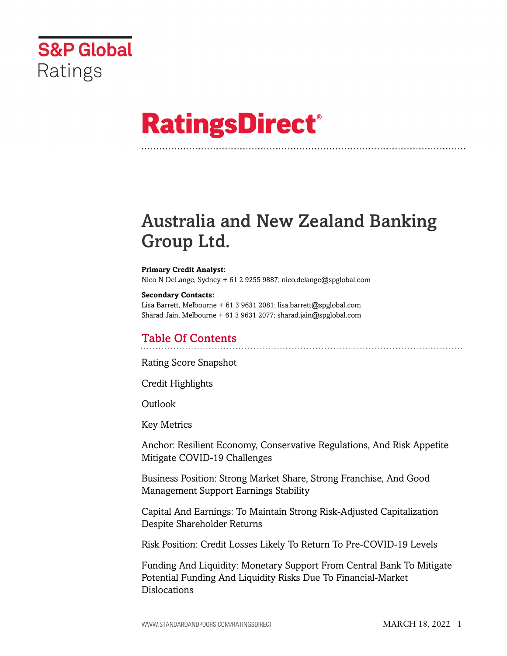

# **RatingsDirect®**

## Australia and New Zealand Banking Group Ltd.

#### **Primary Credit Analyst:** Nico N DeLange, Sydney + 61 2 9255 9887; nico.delange@spglobal.com

**Secondary Contacts:** Lisa Barrett, Melbourne + 61 3 9631 2081; lisa.barrett@spglobal.com Sharad Jain, Melbourne + 61 3 9631 2077; sharad.jain@spglobal.com

## Table Of Contents

[Rating Score Snapshot](#page-2-0)

[Credit Highlights](#page-2-1)

Outlook

[Key Metrics](#page-3-0)

[Anchor: Resilient Economy, Conservative Regulations, And Risk Appetite](#page-4-0) [Mitigate COVID-19 Challenges](#page-4-0)

[Business Position: Strong Market Share, Strong Franchise, And Good](#page-5-0) [Management Support Earnings Stability](#page-5-0)

[Capital And Earnings: To Maintain Strong Risk-Adjusted Capitalization](#page-6-0) [Despite Shareholder Returns](#page-6-0)

[Risk Position: Credit Losses Likely To Return To Pre-COVID-19 Levels](#page-7-0)

[Funding And Liquidity: Monetary Support From Central Bank To Mitigate](#page-8-0) [Potential Funding And Liquidity Risks Due To Financial-Market](#page-8-0) [Dislocations](#page-8-0)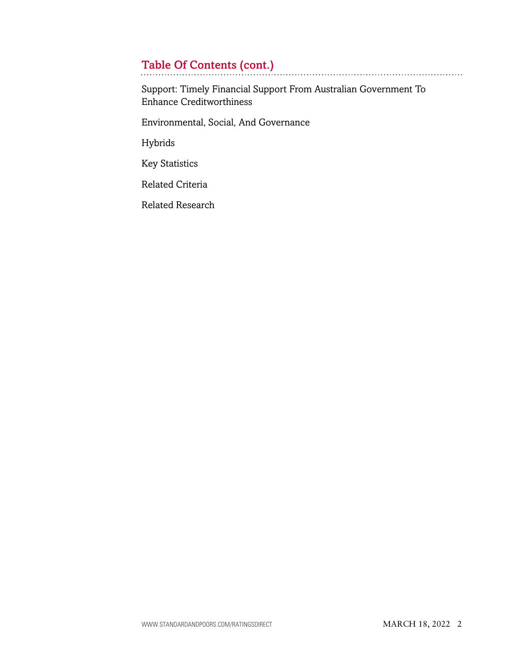## Table Of Contents (cont.)

[Support: Timely Financial Support From Australian Government To](#page-10-0) [Enhance Creditworthiness](#page-10-0)

[Environmental, Social, And Governance](#page-10-1)

[Hybrids](#page-11-0)

[Key Statistics](#page-11-1)

[Related Criteria](#page-14-0)

[Related Research](#page-14-1)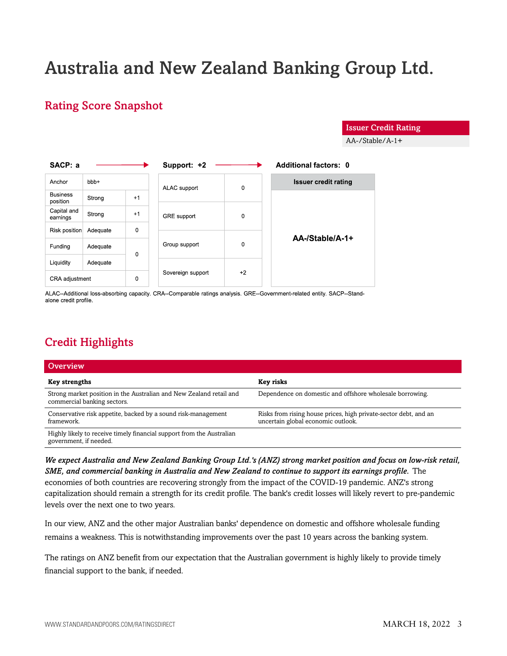## Australia and New Zealand Banking Group Ltd.

## <span id="page-2-0"></span>Rating Score Snapshot

Issuer Credit Rating

AA-/Stable/A-1+

| SACP: a                     |                 |             | Support: +2        |             | <b>Additional factors: 0</b> |
|-----------------------------|-----------------|-------------|--------------------|-------------|------------------------------|
| Anchor                      | bb <sub>+</sub> |             | ALAC support       | $\mathbf 0$ | <b>Issuer credit rating</b>  |
| <b>Business</b><br>position | Strong          | $+1$        |                    |             |                              |
| Capital and<br>earnings     | Strong          | $+1$        | <b>GRE</b> support | 0           |                              |
| Risk position               | Adequate        | $\mathbf 0$ |                    | $\mathbf 0$ | AA-/Stable/A-1+              |
| Funding                     | Adequate        | $\Omega$    | Group support      |             |                              |
| Liquidity                   | Adequate        |             |                    |             |                              |
| CRA adjustment              |                 | $\mathbf 0$ | Sovereign support  | $+2$        |                              |

ALAC--Additional loss-absorbing capacity. CRA--Comparable ratings analysis. GRE--Government-related entity. SACP--Standalone credit profile.

## <span id="page-2-1"></span>Credit Highlights

| Overview                                                                                           |                                                                                                        |
|----------------------------------------------------------------------------------------------------|--------------------------------------------------------------------------------------------------------|
| <b>Key strengths</b>                                                                               | Key risks                                                                                              |
| Strong market position in the Australian and New Zealand retail and<br>commercial banking sectors. | Dependence on domestic and offshore wholesale borrowing.                                               |
| Conservative risk appetite, backed by a sound risk-management<br>framework.                        | Risks from rising house prices, high private-sector debt, and an<br>uncertain global economic outlook. |
| Highly likely to receive timely financial support from the Australian<br>government, if needed.    |                                                                                                        |

*We expect Australia and New Zealand Banking Group Ltd.'s (ANZ) strong market position and focus on low-risk retail, SME, and commercial banking in Australia and New Zealand to continue to support its earnings profile.* The economies of both countries are recovering strongly from the impact of the COVID-19 pandemic. ANZ's strong capitalization should remain a strength for its credit profile. The bank's credit losses will likely revert to pre-pandemic levels over the next one to two years.

In our view, ANZ and the other major Australian banks' dependence on domestic and offshore wholesale funding remains a weakness. This is notwithstanding improvements over the past 10 years across the banking system.

The ratings on ANZ benefit from our expectation that the Australian government is highly likely to provide timely financial support to the bank, if needed.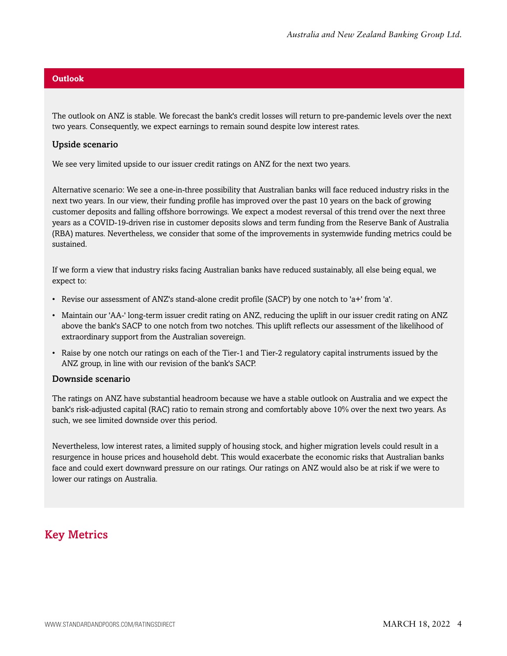#### **Outlook**

The outlook on ANZ is stable. We forecast the bank's credit losses will return to pre-pandemic levels over the next two years. Consequently, we expect earnings to remain sound despite low interest rates.

#### Upside scenario

We see very limited upside to our issuer credit ratings on ANZ for the next two years.

Alternative scenario: We see a one-in-three possibility that Australian banks will face reduced industry risks in the next two years. In our view, their funding profile has improved over the past 10 years on the back of growing customer deposits and falling offshore borrowings. We expect a modest reversal of this trend over the next three years as a COVID-19-driven rise in customer deposits slows and term funding from the Reserve Bank of Australia (RBA) matures. Nevertheless, we consider that some of the improvements in systemwide funding metrics could be sustained.

If we form a view that industry risks facing Australian banks have reduced sustainably, all else being equal, we expect to:

- Revise our assessment of ANZ's stand-alone credit profile (SACP) by one notch to 'a+' from 'a'.
- Maintain our 'AA-' long-term issuer credit rating on ANZ, reducing the uplift in our issuer credit rating on ANZ above the bank's SACP to one notch from two notches. This uplift reflects our assessment of the likelihood of extraordinary support from the Australian sovereign.
- Raise by one notch our ratings on each of the Tier-1 and Tier-2 regulatory capital instruments issued by the ANZ group, in line with our revision of the bank's SACP.

#### Downside scenario

The ratings on ANZ have substantial headroom because we have a stable outlook on Australia and we expect the bank's risk-adjusted capital (RAC) ratio to remain strong and comfortably above 10% over the next two years. As such, we see limited downside over this period.

Nevertheless, low interest rates, a limited supply of housing stock, and higher migration levels could result in a resurgence in house prices and household debt. This would exacerbate the economic risks that Australian banks face and could exert downward pressure on our ratings. Our ratings on ANZ would also be at risk if we were to lower our ratings on Australia.

## <span id="page-3-0"></span>Key Metrics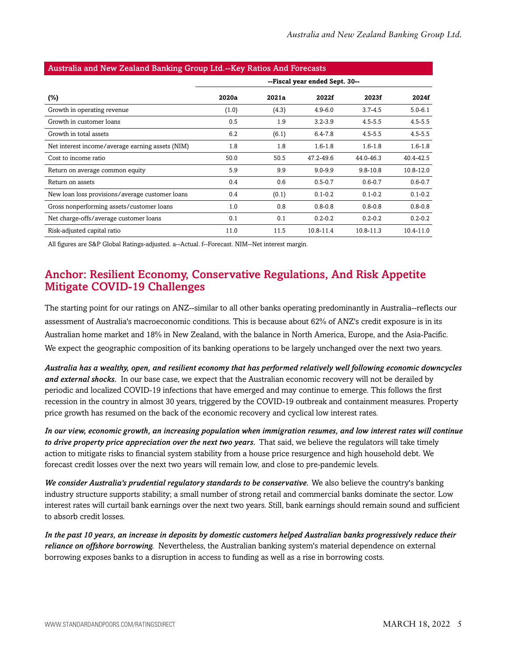| Australia and New Zealand Danking Group Etu.--Key Ratios And Porecasts |                                |       |             |              |             |  |  |  |  |
|------------------------------------------------------------------------|--------------------------------|-------|-------------|--------------|-------------|--|--|--|--|
|                                                                        | --Fiscal year ended Sept. 30-- |       |             |              |             |  |  |  |  |
| $(\%)$                                                                 | 2020a                          | 2021a | 2022f       | 2023f        | 2024f       |  |  |  |  |
| Growth in operating revenue                                            | (1.0)                          | (4.3) | $4.9 - 6.0$ | $3.7 - 4.5$  | $5.0 - 6.1$ |  |  |  |  |
| Growth in customer loans                                               | 0.5                            | 1.9   | $3.2 - 3.9$ | $4.5 - 5.5$  | $4.5 - 5.5$ |  |  |  |  |
| Growth in total assets                                                 | 6.2                            | (6.1) | $6.4 - 7.8$ | $4.5 - 5.5$  | $4.5 - 5.5$ |  |  |  |  |
| Net interest income/average earning assets (NIM)                       | 1.8                            | 1.8   | $1.6 - 1.8$ | $1.6 - 1.8$  | $1.6 - 1.8$ |  |  |  |  |
| Cost to income ratio                                                   | 50.0                           | 50.5  | 47.2-49.6   | 44.0-46.3    | 40.4-42.5   |  |  |  |  |
| Return on average common equity                                        | 5.9                            | 9.9   | $9.0 - 9.9$ | $9.8 - 10.8$ | 10.8-12.0   |  |  |  |  |
| Return on assets                                                       | 0.4                            | 0.6   | $0.5 - 0.7$ | $0.6 - 0.7$  | $0.6 - 0.7$ |  |  |  |  |
| New loan loss provisions/average customer loans                        | 0.4                            | (0.1) | $0.1 - 0.2$ | $0.1 - 0.2$  | $0.1 - 0.2$ |  |  |  |  |
| Gross nonperforming assets/customer loans                              | 1.0                            | 0.8   | $0.8 - 0.8$ | $0.8 - 0.8$  | $0.8 - 0.8$ |  |  |  |  |
| Net charge-offs/average customer loans                                 | 0.1                            | 0.1   | $0.2 - 0.2$ | $0.2 - 0.2$  | $0.2 - 0.2$ |  |  |  |  |
| Risk-adjusted capital ratio                                            | 11.0                           | 11.5  | 10.8-11.4   | 10.8-11.3    | 10.4-11.0   |  |  |  |  |

#### Australia and New Zealand Banking Group Ltd.--Key Ratios And Forecasts

<span id="page-4-0"></span>All figures are S&P Global Ratings-adjusted. a--Actual. f--Forecast. NIM--Net interest margin.

### Anchor: Resilient Economy, Conservative Regulations, And Risk Appetite Mitigate COVID-19 Challenges

The starting point for our ratings on ANZ--similar to all other banks operating predominantly in Australia--reflects our assessment of Australia's macroeconomic conditions. This is because about 62% of ANZ's credit exposure is in its Australian home market and 18% in New Zealand, with the balance in North America, Europe, and the Asia-Pacific. We expect the geographic composition of its banking operations to be largely unchanged over the next two years.

*Australia has a wealthy, open, and resilient economy that has performed relatively well following economic downcycles and external shocks.* In our base case, we expect that the Australian economic recovery will not be derailed by periodic and localized COVID-19 infections that have emerged and may continue to emerge. This follows the first recession in the country in almost 30 years, triggered by the COVID-19 outbreak and containment measures. Property price growth has resumed on the back of the economic recovery and cyclical low interest rates.

*In our view, economic growth, an increasing population when immigration resumes, and low interest rates will continue to drive property price appreciation over the next two years.* That said, we believe the regulators will take timely action to mitigate risks to financial system stability from a house price resurgence and high household debt. We forecast credit losses over the next two years will remain low, and close to pre-pandemic levels.

*We consider Australia's prudential regulatory standards to be conservative.* We also believe the country's banking industry structure supports stability; a small number of strong retail and commercial banks dominate the sector. Low interest rates will curtail bank earnings over the next two years. Still, bank earnings should remain sound and sufficient to absorb credit losses.

*In the past 10 years, an increase in deposits by domestic customers helped Australian banks progressively reduce their reliance on offshore borrowing.* Nevertheless, the Australian banking system's material dependence on external borrowing exposes banks to a disruption in access to funding as well as a rise in borrowing costs.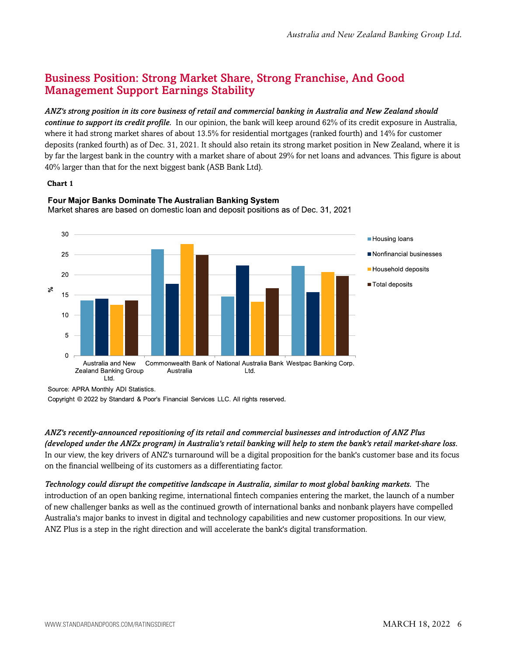## <span id="page-5-0"></span>Business Position: Strong Market Share, Strong Franchise, And Good Management Support Earnings Stability

#### *ANZ's strong position in its core business of retail and commercial banking in Australia and New Zealand should*

*continue to support its credit profile.* In our opinion, the bank will keep around 62% of its credit exposure in Australia, where it had strong market shares of about 13.5% for residential mortgages (ranked fourth) and 14% for customer deposits (ranked fourth) as of Dec. 31, 2021. It should also retain its strong market position in New Zealand, where it is by far the largest bank in the country with a market share of about 29% for net loans and advances. This figure is about 40% larger than that for the next biggest bank (ASB Bank Ltd).

#### **Chart 1**



#### Four Major Banks Dominate The Australian Banking System Market shares are based on domestic loan and deposit positions as of Dec. 31, 2021

Source: APRA Monthly ADI Statistics.

Copyright © 2022 by Standard & Poor's Financial Services LLC. All rights reserved.

*ANZ's recently-announced repositioning of its retail and commercial businesses and introduction of ANZ Plus (developed under the ANZx program) in Australia's retail banking will help to stem the bank's retail market-share loss.* In our view, the key drivers of ANZ's turnaround will be a digital proposition for the bank's customer base and its focus on the financial wellbeing of its customers as a differentiating factor.

*Technology could disrupt the competitive landscape in Australia, similar to most global banking markets.* The introduction of an open banking regime, international fintech companies entering the market, the launch of a number of new challenger banks as well as the continued growth of international banks and nonbank players have compelled Australia's major banks to invest in digital and technology capabilities and new customer propositions. In our view, ANZ Plus is a step in the right direction and will accelerate the bank's digital transformation.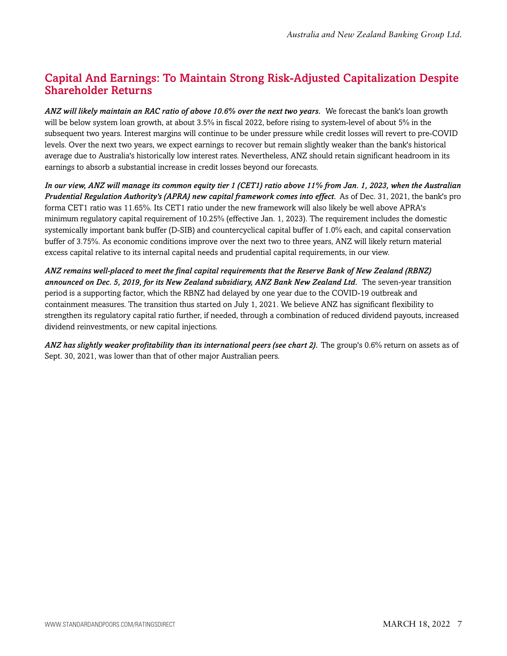## <span id="page-6-0"></span>Capital And Earnings: To Maintain Strong Risk-Adjusted Capitalization Despite Shareholder Returns

*ANZ will likely maintain an RAC ratio of above 10.6% over the next two years.* We forecast the bank's loan growth will be below system loan growth, at about 3.5% in fiscal 2022, before rising to system-level of about 5% in the subsequent two years. Interest margins will continue to be under pressure while credit losses will revert to pre-COVID levels. Over the next two years, we expect earnings to recover but remain slightly weaker than the bank's historical average due to Australia's historically low interest rates. Nevertheless, ANZ should retain significant headroom in its earnings to absorb a substantial increase in credit losses beyond our forecasts.

*In our view, ANZ will manage its common equity tier 1 (CET1) ratio above 11% from Jan. 1, 2023, when the Australian Prudential Regulation Authority's (APRA) new capital framework comes into effect.* As of Dec. 31, 2021, the bank's pro forma CET1 ratio was 11.65%. Its CET1 ratio under the new framework will also likely be well above APRA's minimum regulatory capital requirement of 10.25% (effective Jan. 1, 2023). The requirement includes the domestic systemically important bank buffer (D-SIB) and countercyclical capital buffer of 1.0% each, and capital conservation buffer of 3.75%. As economic conditions improve over the next two to three years, ANZ will likely return material excess capital relative to its internal capital needs and prudential capital requirements, in our view.

*ANZ remains well-placed to meet the final capital requirements that the Reserve Bank of New Zealand (RBNZ) announced on Dec. 5, 2019, for its New Zealand subsidiary, ANZ Bank New Zealand Ltd.* The seven-year transition period is a supporting factor, which the RBNZ had delayed by one year due to the COVID-19 outbreak and containment measures. The transition thus started on July 1, 2021. We believe ANZ has significant flexibility to strengthen its regulatory capital ratio further, if needed, through a combination of reduced dividend payouts, increased dividend reinvestments, or new capital injections.

*ANZ has slightly weaker profitability than its international peers (see chart 2).* The group's 0.6% return on assets as of Sept. 30, 2021, was lower than that of other major Australian peers.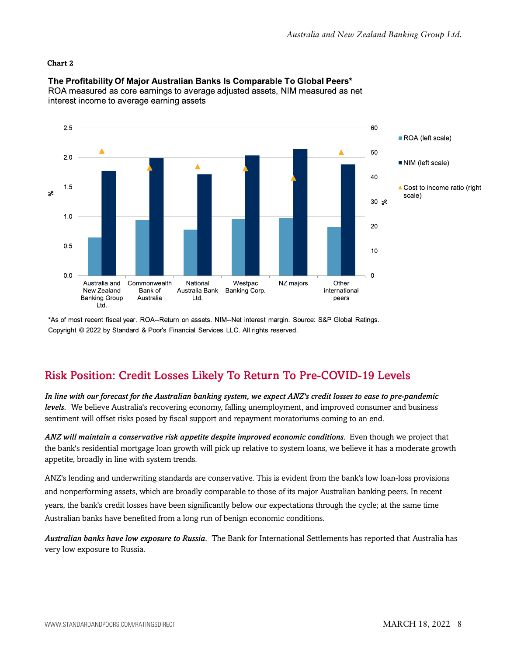#### **Chart 2**



The Profitability Of Major Australian Banks Is Comparable To Global Peers\*

ROA measured as core earnings to average adjusted assets, NIM measured as net interest income to average earning assets

\*As of most recent fiscal year. ROA--Return on assets. NIM--Net interest margin. Source: S&P Global Ratings. Copyright © 2022 by Standard & Poor's Financial Services LLC. All rights reserved.

### <span id="page-7-0"></span>Risk Position: Credit Losses Likely To Return To Pre-COVID-19 Levels

*In line with our forecast for the Australian banking system, we expect ANZ's credit losses to ease to pre-pandemic levels.* We believe Australia's recovering economy, falling unemployment, and improved consumer and business sentiment will offset risks posed by fiscal support and repayment moratoriums coming to an end.

*ANZ will maintain a conservative risk appetite despite improved economic conditions.* Even though we project that the bank's residential mortgage loan growth will pick up relative to system loans, we believe it has a moderate growth appetite, broadly in line with system trends.

ANZ's lending and underwriting standards are conservative. This is evident from the bank's low loan-loss provisions and nonperforming assets, which are broadly comparable to those of its major Australian banking peers. In recent years, the bank's credit losses have been significantly below our expectations through the cycle; at the same time Australian banks have benefited from a long run of benign economic conditions.

*Australian banks have low exposure to Russia.* The Bank for International Settlements has reported that Australia has very low exposure to Russia.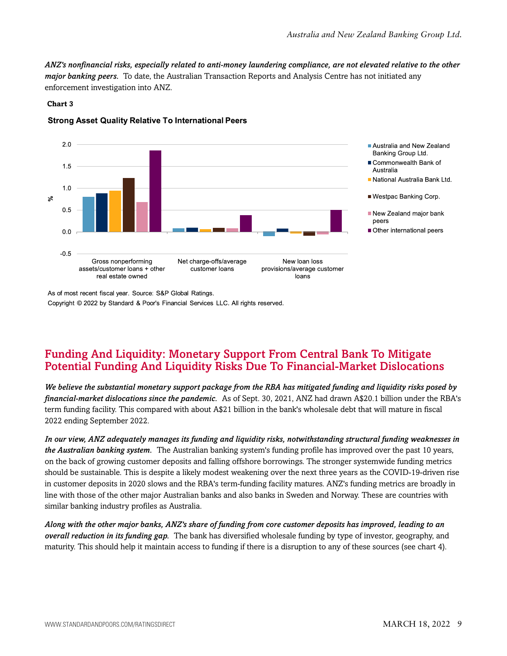*ANZ's nonfinancial risks, especially related to anti-money laundering compliance, are not elevated relative to the other major banking peers.* To date, the Australian Transaction Reports and Analysis Centre has not initiated any enforcement investigation into ANZ.

#### **Chart 3**

#### **Strong Asset Quality Relative To International Peers**



As of most recent fiscal year. Source: S&P Global Ratings. Copyright © 2022 by Standard & Poor's Financial Services LLC. All rights reserved.

## <span id="page-8-0"></span>Funding And Liquidity: Monetary Support From Central Bank To Mitigate Potential Funding And Liquidity Risks Due To Financial-Market Dislocations

*We believe the substantial monetary support package from the RBA has mitigated funding and liquidity risks posed by financial-market dislocations since the pandemic.* As of Sept. 30, 2021, ANZ had drawn A\$20.1 billion under the RBA's term funding facility. This compared with about A\$21 billion in the bank's wholesale debt that will mature in fiscal 2022 ending September 2022.

*In our view, ANZ adequately manages its funding and liquidity risks, notwithstanding structural funding weaknesses in the Australian banking system.* The Australian banking system's funding profile has improved over the past 10 years, on the back of growing customer deposits and falling offshore borrowings. The stronger systemwide funding metrics should be sustainable. This is despite a likely modest weakening over the next three years as the COVID-19-driven rise in customer deposits in 2020 slows and the RBA's term-funding facility matures. ANZ's funding metrics are broadly in line with those of the other major Australian banks and also banks in Sweden and Norway. These are countries with similar banking industry profiles as Australia.

*Along with the other major banks, ANZ's share of funding from core customer deposits has improved, leading to an overall reduction in its funding gap.* The bank has diversified wholesale funding by type of investor, geography, and maturity. This should help it maintain access to funding if there is a disruption to any of these sources (see chart 4).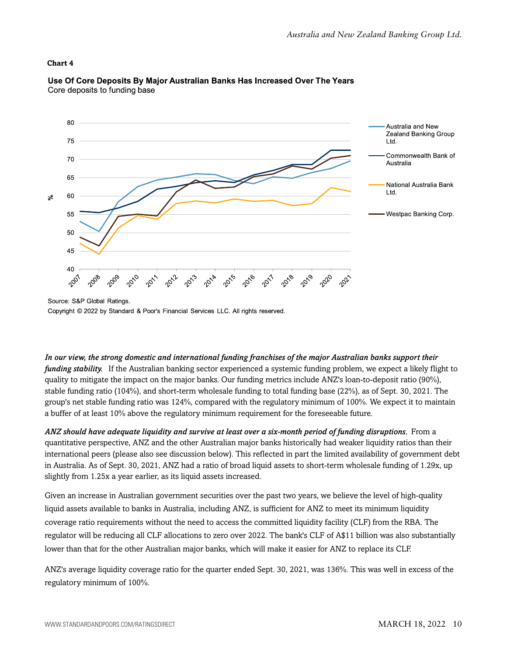#### **Chart 4**



#### Use Of Core Deposits By Major Australian Banks Has Increased Over The Years Core deposits to funding base

*In our view, the strong domestic and international funding franchises of the major Australian banks support their funding stability.* If the Australian banking sector experienced a systemic funding problem, we expect a likely flight to quality to mitigate the impact on the major banks. Our funding metrics include ANZ's loan-to-deposit ratio (90%), stable funding ratio (104%), and short-term wholesale funding to total funding base (22%), as of Sept. 30, 2021. The group's net stable funding ratio was 124%, compared with the regulatory minimum of 100%. We expect it to maintain a buffer of at least 10% above the regulatory minimum requirement for the foreseeable future.

*ANZ should have adequate liquidity and survive at least over a six-month period of funding disruptions.* From a quantitative perspective, ANZ and the other Australian major banks historically had weaker liquidity ratios than their international peers (please also see discussion below). This reflected in part the limited availability of government debt in Australia. As of Sept. 30, 2021, ANZ had a ratio of broad liquid assets to short-term wholesale funding of 1.29x, up slightly from 1.25x a year earlier, as its liquid assets increased.

Given an increase in Australian government securities over the past two years, we believe the level of high-quality liquid assets available to banks in Australia, including ANZ, is sufficient for ANZ to meet its minimum liquidity coverage ratio requirements without the need to access the committed liquidity facility (CLF) from the RBA. The regulator will be reducing all CLF allocations to zero over 2022. The bank's CLF of A\$11 billion was also substantially lower than that for the other Australian major banks, which will make it easier for ANZ to replace its CLF.

ANZ's average liquidity coverage ratio for the quarter ended Sept. 30, 2021, was 136%. This was well in excess of the regulatory minimum of 100%.

Source: S&P Global Ratings. Copyright © 2022 by Standard & Poor's Financial Services LLC. All rights reserved.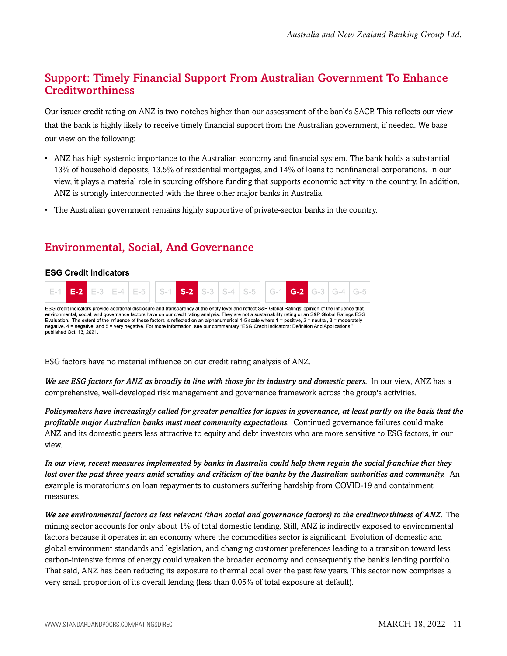## <span id="page-10-0"></span>Support: Timely Financial Support From Australian Government To Enhance Creditworthiness

Our issuer credit rating on ANZ is two notches higher than our assessment of the bank's SACP. This reflects our view that the bank is highly likely to receive timely financial support from the Australian government, if needed. We base our view on the following:

- ANZ has high systemic importance to the Australian economy and financial system. The bank holds a substantial 13% of household deposits, 13.5% of residential mortgages, and 14% of loans to nonfinancial corporations. In our view, it plays a material role in sourcing offshore funding that supports economic activity in the country. In addition, ANZ is strongly interconnected with the three other major banks in Australia.
- The Australian government remains highly supportive of private-sector banks in the country.

## <span id="page-10-1"></span>Environmental, Social, And Governance

#### **ESG Credit Indicators**



ESG factors have no material influence on our credit rating analysis of ANZ.

*We see ESG factors for ANZ as broadly in line with those for its industry and domestic peers.* In our view, ANZ has a comprehensive, well-developed risk management and governance framework across the group's activities.

*Policymakers have increasingly called for greater penalties for lapses in governance, at least partly on the basis that the profitable major Australian banks must meet community expectations.* Continued governance failures could make ANZ and its domestic peers less attractive to equity and debt investors who are more sensitive to ESG factors, in our view.

*In our view, recent measures implemented by banks in Australia could help them regain the social franchise that they lost over the past three years amid scrutiny and criticism of the banks by the Australian authorities and community.* An example is moratoriums on loan repayments to customers suffering hardship from COVID-19 and containment measures.

*We see environmental factors as less relevant (than social and governance factors) to the creditworthiness of ANZ.* The mining sector accounts for only about 1% of total domestic lending. Still, ANZ is indirectly exposed to environmental factors because it operates in an economy where the commodities sector is significant. Evolution of domestic and global environment standards and legislation, and changing customer preferences leading to a transition toward less carbon-intensive forms of energy could weaken the broader economy and consequently the bank's lending portfolio. That said, ANZ has been reducing its exposure to thermal coal over the past few years. This sector now comprises a very small proportion of its overall lending (less than 0.05% of total exposure at default).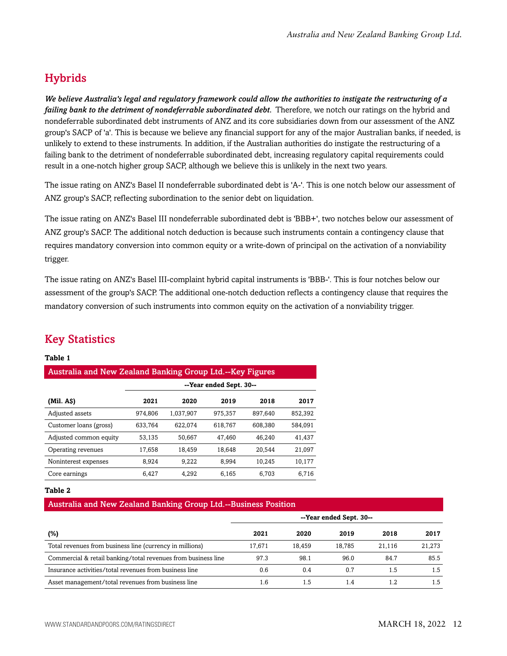## <span id="page-11-0"></span>**Hybrids**

*We believe Australia's legal and regulatory framework could allow the authorities to instigate the restructuring of a failing bank to the detriment of nondeferrable subordinated debt.* Therefore, we notch our ratings on the hybrid and nondeferrable subordinated debt instruments of ANZ and its core subsidiaries down from our assessment of the ANZ group's SACP of 'a'. This is because we believe any financial support for any of the major Australian banks, if needed, is unlikely to extend to these instruments. In addition, if the Australian authorities do instigate the restructuring of a failing bank to the detriment of nondeferrable subordinated debt, increasing regulatory capital requirements could result in a one-notch higher group SACP, although we believe this is unlikely in the next two years.

The issue rating on ANZ's Basel II nondeferrable subordinated debt is 'A-'. This is one notch below our assessment of ANZ group's SACP, reflecting subordination to the senior debt on liquidation.

The issue rating on ANZ's Basel III nondeferrable subordinated debt is 'BBB+', two notches below our assessment of ANZ group's SACP. The additional notch deduction is because such instruments contain a contingency clause that requires mandatory conversion into common equity or a write-down of principal on the activation of a nonviability trigger.

The issue rating on ANZ's Basel III-complaint hybrid capital instruments is 'BBB-'. This is four notches below our assessment of the group's SACP. The additional one-notch deduction reflects a contingency clause that requires the mandatory conversion of such instruments into common equity on the activation of a nonviability trigger.

## <span id="page-11-1"></span>Key Statistics

#### **Table 1**

| <b>Australia and New Zealand Banking Group Ltd.--Key Figures</b> |                         |           |         |         |         |  |  |  |  |
|------------------------------------------------------------------|-------------------------|-----------|---------|---------|---------|--|--|--|--|
|                                                                  | --Year ended Sept. 30-- |           |         |         |         |  |  |  |  |
| (Mil. A\$)                                                       | 2021                    | 2020      | 2019    | 2018    | 2017    |  |  |  |  |
| Adjusted assets                                                  | 974,806                 | 1.037.907 | 975,357 | 897.640 | 852,392 |  |  |  |  |
| Customer loans (gross)                                           | 633,764                 | 622,074   | 618,767 | 608,380 | 584,091 |  |  |  |  |
| Adjusted common equity                                           | 53,135                  | 50,667    | 47,460  | 46.240  | 41,437  |  |  |  |  |
| Operating revenues                                               | 17,658                  | 18,459    | 18,648  | 20.544  | 21,097  |  |  |  |  |
| Noninterest expenses                                             | 8,924                   | 9.222     | 8,994   | 10,245  | 10,177  |  |  |  |  |
| Core earnings                                                    | 6.427                   | 4.292     | 6.165   | 6.703   | 6.716   |  |  |  |  |

#### **Table 2**

#### Australia and New Zealand Banking Group Ltd.--Business Position

|                                                               | --Year ended Sept. 30-- |        |        |        |        |
|---------------------------------------------------------------|-------------------------|--------|--------|--------|--------|
| (%)                                                           | 2021                    | 2020   | 2019   | 2018   | 2017   |
| Total revenues from business line (currency in millions)      | 17.671                  | 18.459 | 18.785 | 21.116 | 21,273 |
| Commercial & retail banking/total revenues from business line | 97.3                    | 98.1   | 96.0   | 84.7   | 85.5   |
| Insurance activities/total revenues from business line        | 0.6                     | 0.4    | 0.7    | 1.5    | 1.5    |
| Asset management/total revenues from business line            | 1.6                     | 1.5    | 1.4    | 1.2    | 1.5    |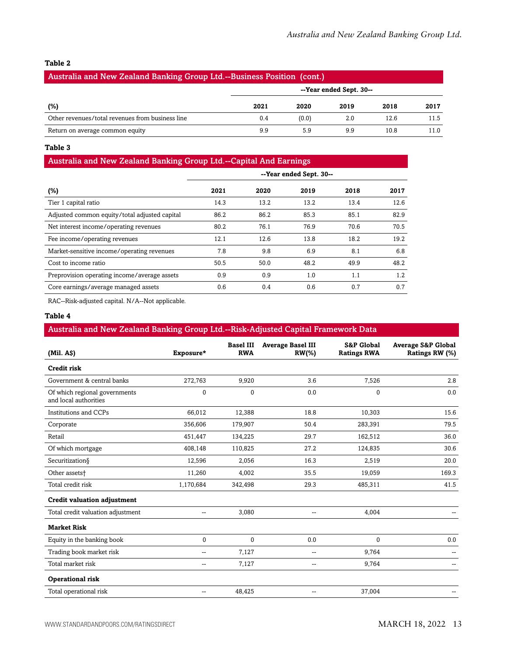#### **Table 2**

| Australia and New Zealand Banking Group Ltd.--Business Position (cont.) |                         |       |      |      |      |  |  |
|-------------------------------------------------------------------------|-------------------------|-------|------|------|------|--|--|
|                                                                         | --Year ended Sept. 30-- |       |      |      |      |  |  |
| (%)                                                                     | 2021                    | 2020  | 2019 | 2018 | 2017 |  |  |
| Other revenues/total revenues from business line                        | 0.4                     | (0.0) | 2.0  | 12.6 | 11.5 |  |  |
| Return on average common equity                                         | 9.9                     | 5.9   | 9.9  | 10.8 | 11.0 |  |  |

#### **Table 3**

#### Australia and New Zealand Banking Group Ltd.--Capital And Earnings

|                                               |      | --Year ended Sept. 30-- |      |      |      |
|-----------------------------------------------|------|-------------------------|------|------|------|
| $(\%)$                                        | 2021 | 2020                    | 2019 | 2018 | 2017 |
| Tier 1 capital ratio                          | 14.3 | 13.2                    | 13.2 | 13.4 | 12.6 |
| Adjusted common equity/total adjusted capital | 86.2 | 86.2                    | 85.3 | 85.1 | 82.9 |
| Net interest income/operating revenues        | 80.2 | 76.1                    | 76.9 | 70.6 | 70.5 |
| Fee income/operating revenues                 | 12.1 | 12.6                    | 13.8 | 18.2 | 19.2 |
| Market-sensitive income/operating revenues    | 7.8  | 9.8                     | 6.9  | 8.1  | 6.8  |
| Cost to income ratio                          | 50.5 | 50.0                    | 48.2 | 49.9 | 48.2 |
| Preprovision operating income/average assets  | 0.9  | 0.9                     | 1.0  | 1.1  | 1.2  |
| Core earnings/average managed assets          | 0.6  | 0.4                     | 0.6  | 0.7  | 0.7  |

RAC--Risk-adjusted capital. N/A--Not applicable.

#### **Table 4**

#### Australia and New Zealand Banking Group Ltd.--Risk-Adjusted Capital Framework Data

| (Mil. AS)                                              | Exposure*      | <b>Basel III</b><br><b>RWA</b> | <b>Average Basel III</b><br>$RW(\% )$ | <b>S&amp;P Global</b><br><b>Ratings RWA</b> | <b>Average S&amp;P Global</b><br>Ratings RW (%) |
|--------------------------------------------------------|----------------|--------------------------------|---------------------------------------|---------------------------------------------|-------------------------------------------------|
| Credit risk                                            |                |                                |                                       |                                             |                                                 |
| Government & central banks                             | 272,763        | 9,920                          | 3.6                                   | 7,526                                       | 2.8                                             |
| Of which regional governments<br>and local authorities | $\mathbf{0}$   | 0                              | 0.0                                   | 0                                           | 0.0                                             |
| Institutions and CCPs                                  | 66,012         | 12,388                         | 18.8                                  | 10,303                                      | 15.6                                            |
| Corporate                                              | 356,606        | 179,907                        | 50.4                                  | 283,391                                     | 79.5                                            |
| Retail                                                 | 451,447        | 134,225                        | 29.7                                  | 162,512                                     | 36.0                                            |
| Of which mortgage                                      | 408,148        | 110,825                        | 27.2                                  | 124,835                                     | 30.6                                            |
| Securitization§                                        | 12,596         | 2,056                          | 16.3                                  | 2,519                                       | 20.0                                            |
| Other assets <sup>+</sup>                              | 11,260         | 4,002                          | 35.5                                  | 19,059                                      | 169.3                                           |
| Total credit risk                                      | 1,170,684      | 342,498                        | 29.3                                  | 485,311                                     | 41.5                                            |
| <b>Credit valuation adjustment</b>                     |                |                                |                                       |                                             |                                                 |
| Total credit valuation adjustment                      | $-$            | 3,080                          | $\sim$ $\sim$                         | 4,004                                       |                                                 |
| <b>Market Risk</b>                                     |                |                                |                                       |                                             |                                                 |
| Equity in the banking book                             | $\mathbf{0}$   | 0                              | 0.0                                   | 0                                           | 0.0                                             |
| Trading book market risk                               | --             | 7,127                          | $-$                                   | 9,764                                       |                                                 |
| Total market risk                                      | --             | 7,127                          | $\sim$                                | 9,764                                       |                                                 |
| <b>Operational risk</b>                                |                |                                |                                       |                                             |                                                 |
| Total operational risk                                 | $\overline{a}$ | 48,425                         | --                                    | 37,004                                      |                                                 |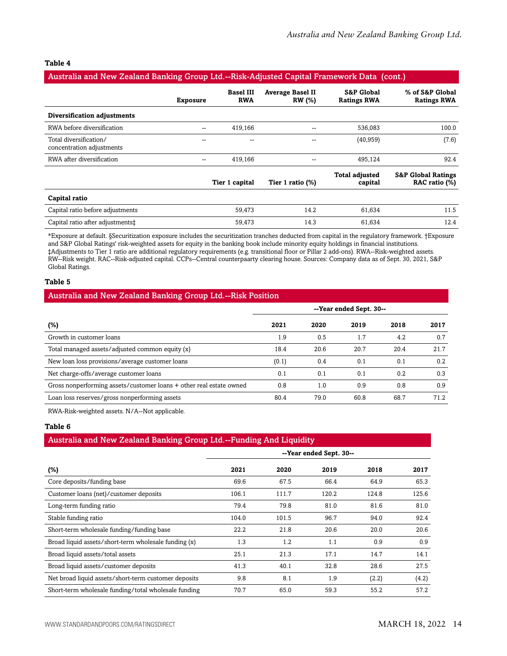#### **Table 4**

| Australia and New Zealand Banking Group Ltd.--Risk-Adjusted Capital Framework Data (cont.) |                 |                                |                                          |                                             |                                                |  |  |  |
|--------------------------------------------------------------------------------------------|-----------------|--------------------------------|------------------------------------------|---------------------------------------------|------------------------------------------------|--|--|--|
|                                                                                            | <b>Exposure</b> | <b>Basel III</b><br><b>RWA</b> | <b>Average Basel II</b><br><b>RW</b> (%) | <b>S&amp;P Global</b><br><b>Ratings RWA</b> | % of S&P Global<br><b>Ratings RWA</b>          |  |  |  |
| Diversification adjustments                                                                |                 |                                |                                          |                                             |                                                |  |  |  |
| RWA before diversification                                                                 |                 | 419,166                        | --                                       | 536,083                                     | 100.0                                          |  |  |  |
| Total diversification/<br>concentration adjustments                                        |                 | --                             | --                                       | (40, 959)                                   | (7.6)                                          |  |  |  |
| RWA after diversification                                                                  |                 | 419,166                        | --                                       | 495,124                                     | 92.4                                           |  |  |  |
|                                                                                            |                 | Tier 1 capital                 | Tier 1 ratio $(\%)$                      | <b>Total adjusted</b><br>capital            | <b>S&amp;P Global Ratings</b><br>RAC ratio (%) |  |  |  |
| Capital ratio                                                                              |                 |                                |                                          |                                             |                                                |  |  |  |
| Capital ratio before adjustments                                                           |                 | 59,473                         | 14.2                                     | 61,634                                      | 11.5                                           |  |  |  |
| Capital ratio after adjustments‡                                                           |                 | 59,473                         | 14.3                                     | 61,634                                      | 12.4                                           |  |  |  |

\*Exposure at default. §Securitization exposure includes the securitization tranches deducted from capital in the regulatory framework. †Exposure and S&P Global Ratings' risk-weighted assets for equity in the banking book include minority equity holdings in financial institutions. ‡Adjustments to Tier 1 ratio are additional regulatory requirements (e.g. transitional floor or Pillar 2 add-ons). RWA--Risk-weighted assets. RW--Risk weight. RAC--Risk-adjusted capital. CCPs--Central counterpaarty clearing house. Sources: Company data as of Sept. 30, 2021, S&P Global Ratings.

#### **Table 5**

|  | <b>Australia and New Zealand Banking Group Ltd.--Risk Position</b> |  |
|--|--------------------------------------------------------------------|--|
|--|--------------------------------------------------------------------|--|

|                                                                     | --Year ended Sept. 30-- |      |      |      |      |  |
|---------------------------------------------------------------------|-------------------------|------|------|------|------|--|
| $(\%)$                                                              | 2021                    | 2020 | 2019 | 2018 | 2017 |  |
| Growth in customer loans                                            | 1.9                     | 0.5  | 1.7  | 4.2  | 0.7  |  |
| Total managed assets/adjusted common equity (x)                     | 18.4                    | 20.6 | 20.7 | 20.4 | 21.7 |  |
| New loan loss provisions/average customer loans                     | (0.1)                   | 0.4  | 0.1  | 0.1  | 0.2  |  |
| Net charge-offs/average customer loans                              | 0.1                     | 0.1  | 0.1  | 0.2  | 0.3  |  |
| Gross nonperforming assets/customer loans + other real estate owned | 0.8                     | 1.0  | 0.9  | 0.8  | 0.9  |  |
| Loan loss reserves/gross nonperforming assets                       | 80.4                    | 79.0 | 60.8 | 68.7 | 71.2 |  |

RWA-Risk-weighted assets. N/A--Not applicable.

#### **Table 6**

#### Australia and New Zealand Banking Group Ltd.--Funding And Liquidity

|                                                      |       |       | --Year ended Sept. 30-- |       |       |
|------------------------------------------------------|-------|-------|-------------------------|-------|-------|
| $(\%)$                                               | 2021  | 2020  | 2019                    | 2018  | 2017  |
| Core deposits/funding base                           | 69.6  | 67.5  | 66.4                    | 64.9  | 65.3  |
| Customer loans (net)/customer deposits               | 106.1 | 111.7 | 120.2                   | 124.8 | 125.6 |
| Long-term funding ratio                              | 79.4  | 79.8  | 81.0                    | 81.6  | 81.0  |
| Stable funding ratio                                 | 104.0 | 101.5 | 96.7                    | 94.0  | 92.4  |
| Short-term wholesale funding/funding base            | 22.2  | 21.8  | 20.6                    | 20.0  | 20.6  |
| Broad liquid assets/short-term wholesale funding (x) | 1.3   | 1.2   | 1.1                     | 0.9   | 0.9   |
| Broad liquid assets/total assets                     | 25.1  | 21.3  | 17.1                    | 14.7  | 14.1  |
| Broad liquid assets/customer deposits                | 41.3  | 40.1  | 32.8                    | 28.6  | 27.5  |
| Net broad liquid assets/short-term customer deposits | 9.8   | 8.1   | 1.9                     | (2.2) | (4.2) |
| Short-term wholesale funding/total wholesale funding | 70.7  | 65.0  | 59.3                    | 55.2  | 57.2  |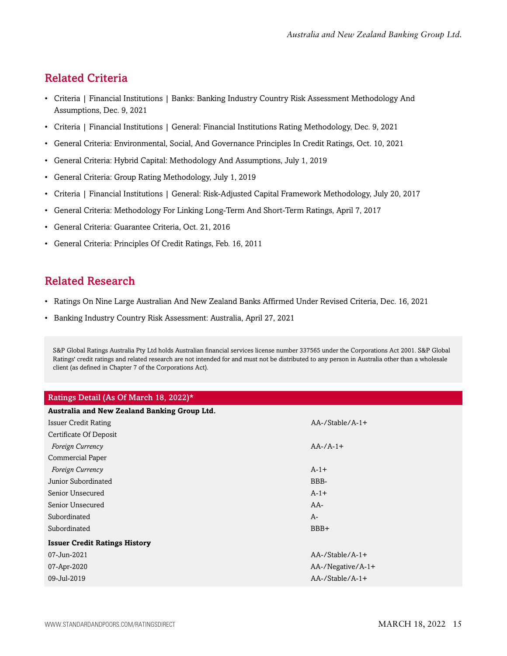## <span id="page-14-0"></span>Related Criteria

- Criteria | Financial Institutions | Banks: Banking Industry Country Risk Assessment Methodology And Assumptions, Dec. 9, 2021
- Criteria | Financial Institutions | General: Financial Institutions Rating Methodology, Dec. 9, 2021
- General Criteria: Environmental, Social, And Governance Principles In Credit Ratings, Oct. 10, 2021
- General Criteria: Hybrid Capital: Methodology And Assumptions, July 1, 2019
- General Criteria: Group Rating Methodology, July 1, 2019
- Criteria | Financial Institutions | General: Risk-Adjusted Capital Framework Methodology, July 20, 2017
- General Criteria: Methodology For Linking Long-Term And Short-Term Ratings, April 7, 2017
- General Criteria: Guarantee Criteria, Oct. 21, 2016
- General Criteria: Principles Of Credit Ratings, Feb. 16, 2011

## <span id="page-14-1"></span>Related Research

- Ratings On Nine Large Australian And New Zealand Banks Affirmed Under Revised Criteria, Dec. 16, 2021
- Banking Industry Country Risk Assessment: Australia, April 27, 2021

S&P Global Ratings Australia Pty Ltd holds Australian financial services license number 337565 under the Corporations Act 2001. S&P Global Ratings' credit ratings and related research are not intended for and must not be distributed to any person in Australia other than a wholesale client (as defined in Chapter 7 of the Corporations Act).

| Ratings Detail (As Of March 18, 2022)*       |                        |
|----------------------------------------------|------------------------|
| Australia and New Zealand Banking Group Ltd. |                        |
| <b>Issuer Credit Rating</b>                  | $AA$ -/Stable/ $A$ -1+ |
| Certificate Of Deposit                       |                        |
| Foreign Currency                             | $AA$ -/ $A$ -1+        |
| <b>Commercial Paper</b>                      |                        |
| Foreign Currency                             | $A-1+$                 |
| Junior Subordinated                          | BBB-                   |
| Senior Unsecured                             | $A-1+$                 |
| Senior Unsecured                             | $AA-$                  |
| Subordinated                                 | $A-$                   |
| Subordinated                                 | BBB+                   |
| <b>Issuer Credit Ratings History</b>         |                        |
| 07-Jun-2021                                  | $AA$ -/Stable/ $A$ -1+ |
| 07-Apr-2020                                  | AA-/Negative/A-1+      |
| 09-Jul-2019                                  | $AA$ -/Stable/ $A$ -1+ |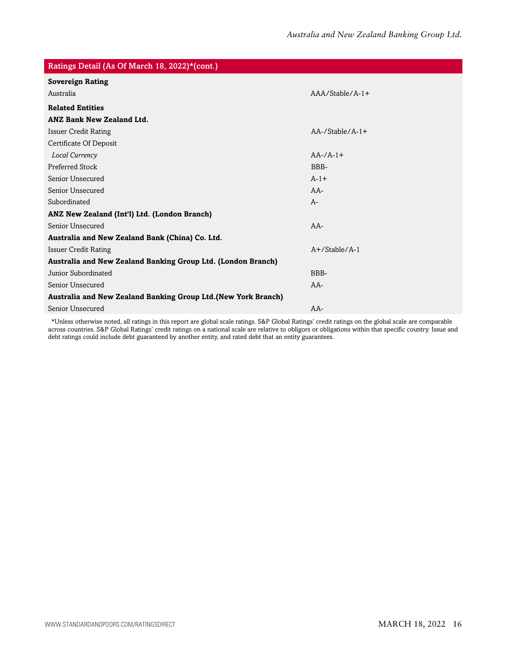| Ratings Detail (As Of March 18, 2022)*(cont.)                 |                    |  |
|---------------------------------------------------------------|--------------------|--|
| <b>Sovereign Rating</b>                                       |                    |  |
| Australia                                                     | $AA/Stable/A-1+$   |  |
| <b>Related Entities</b>                                       |                    |  |
| <b>ANZ Bank New Zealand Ltd.</b>                              |                    |  |
| <b>Issuer Credit Rating</b>                                   | $AA$ -/Stable/A-1+ |  |
| Certificate Of Deposit                                        |                    |  |
| Local Currency                                                | $AA$ -/ $A$ -1+    |  |
| <b>Preferred Stock</b>                                        | BBB-               |  |
| Senior Unsecured                                              | $A-1+$             |  |
| Senior Unsecured                                              | $AA-$              |  |
| Subordinated                                                  | $A-$               |  |
| ANZ New Zealand (Int'l) Ltd. (London Branch)                  |                    |  |
| Senior Unsecured                                              | $AA-$              |  |
| Australia and New Zealand Bank (China) Co. Ltd.               |                    |  |
| <b>Issuer Credit Rating</b>                                   | $A+$ /Stable/A-1   |  |
| Australia and New Zealand Banking Group Ltd. (London Branch)  |                    |  |
| Junior Subordinated                                           | BBB-               |  |
| Senior Unsecured                                              | $AA-$              |  |
| Australia and New Zealand Banking Group Ltd.(New York Branch) |                    |  |
| Senior Unsecured                                              | $AA-$              |  |

\*Unless otherwise noted, all ratings in this report are global scale ratings. S&P Global Ratings' credit ratings on the global scale are comparable across countries. S&P Global Ratings' credit ratings on a national scale are relative to obligors or obligations within that specific country. Issue and debt ratings could include debt guaranteed by another entity, and rated debt that an entity guarantees.